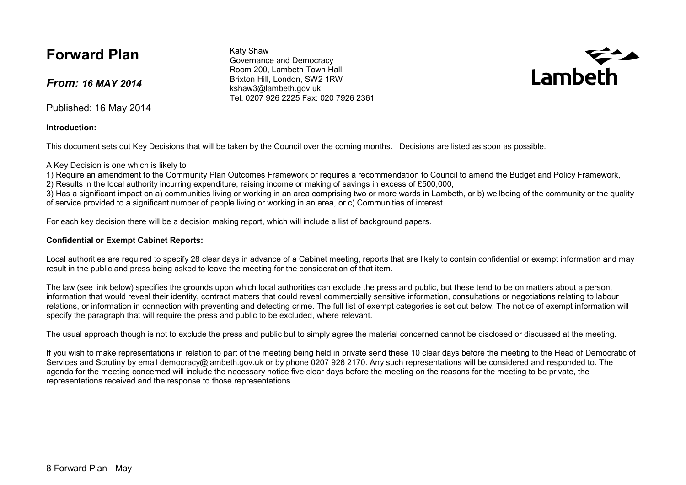# **Forward Plan**

*From: 16 MAY 2014* 

Published: 16 May 2014

**Introduction:** 

This document sets out Key Decisions that will be taken by the Council over the coming months. Decisions are listed as soon as possible.

A Key Decision is one which is likely to

1) Require an amendment to the Community Plan Outcomes Framework or requires a recommendation to Council to amend the Budget and Policy Framework,

2) Results in the local authority incurring expenditure, raising income or making of savings in excess of £500,000,

 3) Has a significant impact on a) communities living or working in an area comprising two or more wards in Lambeth, or b) wellbeing of the community or the quality of service provided to a significant number of people living or working in an area, or c) Communities of interest

For each key decision there will be a decision making report, which will include a list of background papers.

#### **Confidential or Exempt Cabinet Reports:**

Local authorities are required to specify 28 clear days in advance of a Cabinet meeting, reports that are likely to contain confidential or exempt information and may result in the public and press being asked to leave the meeting for the consideration of that item.

The law (see link below) specifies the grounds upon which local authorities can exclude the press and public, but these tend to be on matters about a person, information that would reveal their identity, contract matters that could reveal commercially sensitive information, consultations or negotiations relating to labour relations, or information in connection with preventing and detecting crime. The full list of exempt categories is set out below. The notice of exempt information will specify the paragraph that will require the press and public to be excluded, where relevant.

The usual approach though is not to exclude the press and public but to simply agree the material concerned cannot be disclosed or discussed at the meeting.

If you wish to make representations in relation to part of the meeting being held in private send these 10 clear days before the meeting to the Head of Democratic of Services and Scrutiny by email democracy@lambeth.gov.uk or by phone 0207 926 2170. Any such representations will be considered and responded to. The agenda for the meeting concerned will include the necessary notice five clear days before the meeting on the reasons for the meeting to be private, the representations received and the response to those representations.

Katy Shaw Governance and Democracy Room 200, Lambeth Town Hall, Brixton Hill, London, SW2 1RW kshaw3@lambeth.gov.uk Tel. 0207 926 2225 Fax: 020 7926 2361

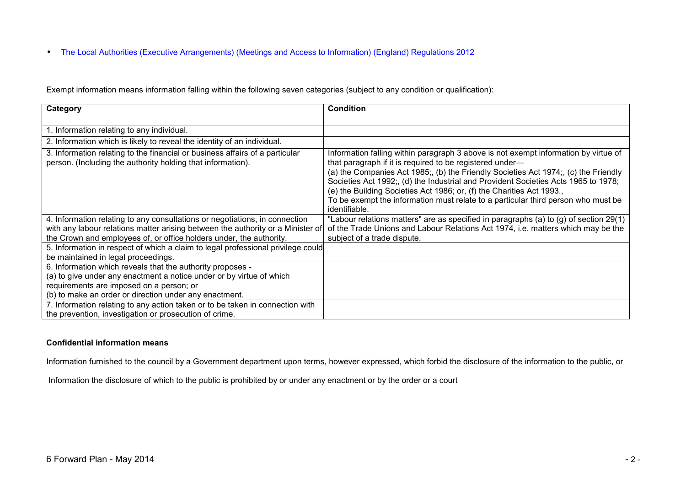• The Local Authorities (Executive Arrangements) (Meetings and Access to Information) (England) Regulations 2012

Exempt information means information falling within the following seven categories (subject to any condition or qualification):

| Category                                                                                                                                                                                                                                 | <b>Condition</b>                                                                                                                                                                                                                                                                                                                                                                                                                                                                                          |
|------------------------------------------------------------------------------------------------------------------------------------------------------------------------------------------------------------------------------------------|-----------------------------------------------------------------------------------------------------------------------------------------------------------------------------------------------------------------------------------------------------------------------------------------------------------------------------------------------------------------------------------------------------------------------------------------------------------------------------------------------------------|
| 1. Information relating to any individual.                                                                                                                                                                                               |                                                                                                                                                                                                                                                                                                                                                                                                                                                                                                           |
| 2. Information which is likely to reveal the identity of an individual.                                                                                                                                                                  |                                                                                                                                                                                                                                                                                                                                                                                                                                                                                                           |
| 3. Information relating to the financial or business affairs of a particular<br>person. (Including the authority holding that information).                                                                                              | Information falling within paragraph 3 above is not exempt information by virtue of<br>that paragraph if it is required to be registered under—<br>(a) the Companies Act 1985; (b) the Friendly Societies Act 1974; (c) the Friendly<br>Societies Act 1992;, (d) the Industrial and Provident Societies Acts 1965 to 1978;<br>(e) the Building Societies Act 1986; or, (f) the Charities Act 1993.,<br>To be exempt the information must relate to a particular third person who must be<br>identifiable. |
| 4. Information relating to any consultations or negotiations, in connection<br>with any labour relations matter arising between the authority or a Minister of<br>the Crown and employees of, or office holders under, the authority.    | "Labour relations matters" are as specified in paragraphs (a) to (g) of section 29(1)<br>of the Trade Unions and Labour Relations Act 1974, i.e. matters which may be the<br>subject of a trade dispute.                                                                                                                                                                                                                                                                                                  |
| 5. Information in respect of which a claim to legal professional privilege could<br>be maintained in legal proceedings.                                                                                                                  |                                                                                                                                                                                                                                                                                                                                                                                                                                                                                                           |
| 6. Information which reveals that the authority proposes -<br>(a) to give under any enactment a notice under or by virtue of which<br>requirements are imposed on a person; or<br>(b) to make an order or direction under any enactment. |                                                                                                                                                                                                                                                                                                                                                                                                                                                                                                           |
| 7. Information relating to any action taken or to be taken in connection with<br>the prevention, investigation or prosecution of crime.                                                                                                  |                                                                                                                                                                                                                                                                                                                                                                                                                                                                                                           |

#### **Confidential information means**

Information furnished to the council by a Government department upon terms, however expressed, which forbid the disclosure of the information to the public, or

Information the disclosure of which to the public is prohibited by or under any enactment or by the order or a court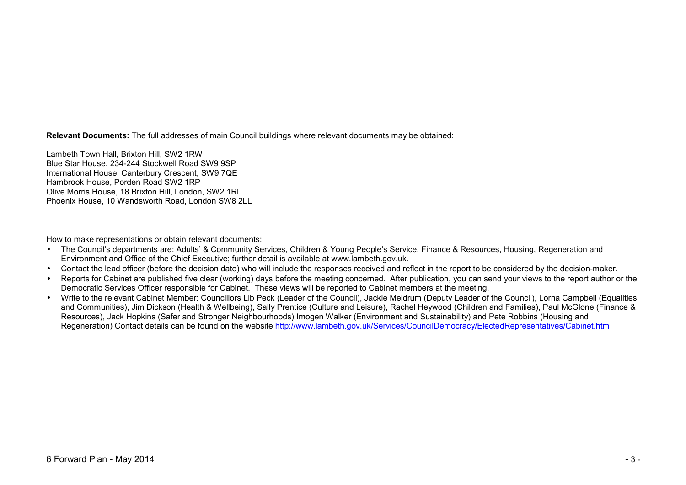**Relevant Documents:** The full addresses of main Council buildings where relevant documents may be obtained:

Lambeth Town Hall, Brixton Hill, SW2 1RW Blue Star House, 234-244 Stockwell Road SW9 9SP International House, Canterbury Crescent, SW9 7QE Hambrook House, Porden Road SW2 1RP Olive Morris House, 18 Brixton Hill, London, SW2 1RL Phoenix House, 10 Wandsworth Road, London SW8 2LL

How to make representations or obtain relevant documents:

- The Council's departments are: Adults' & Community Services, Children & Young People's Service, Finance & Resources, Housing, Regeneration and Environment and Office of the Chief Executive; further detail is available at www.lambeth.gov.uk.
- Contact the lead officer (before the decision date) who will include the responses received and reflect in the report to be considered by the decision-maker.
- Reports for Cabinet are published five clear (working) days before the meeting concerned. After publication, you can send your views to the report author or the Democratic Services Officer responsible for Cabinet. These views will be reported to Cabinet members at the meeting.
- Write to the relevant Cabinet Member: Councillors Lib Peck (Leader of the Council), Jackie Meldrum (Deputy Leader of the Council), Lorna Campbell (Equalities and Communities), Jim Dickson (Health & Wellbeing), Sally Prentice (Culture and Leisure), Rachel Heywood (Children and Families), Paul McGlone (Finance &Resources), Jack Hopkins (Safer and Stronger Neighbourhoods) Imogen Walker (Environment and Sustainability) and Pete Robbins (Housing and Regeneration) Contact details can be found on the website http://www.lambeth.gov.uk/Services/CouncilDemocracy/ElectedRepresentatives/Cabinet.htm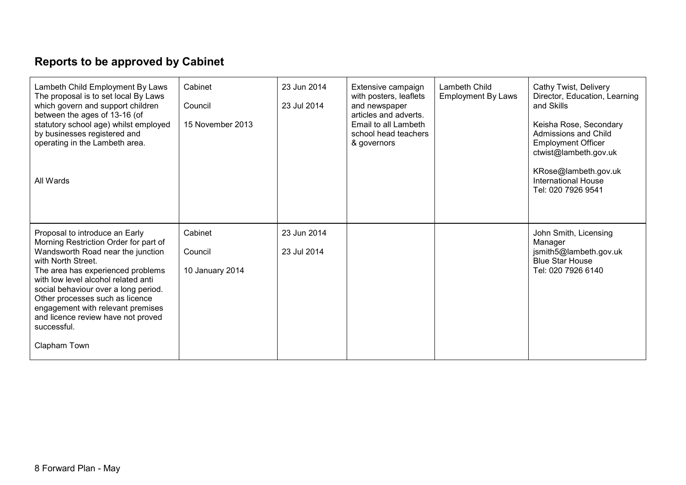## **Reports to be approved by Cabinet**

| Lambeth Child Employment By Laws<br>The proposal is to set local By Laws<br>which govern and support children<br>between the ages of 13-16 (of<br>statutory school age) whilst employed<br>by businesses registered and<br>operating in the Lambeth area.<br>All Wards                                                                                                                              | Cabinet<br>Council<br>15 November 2013 | 23 Jun 2014<br>23 Jul 2014 | Extensive campaign<br>with posters, leaflets<br>and newspaper<br>articles and adverts.<br>Email to all Lambeth<br>school head teachers<br>& governors | Lambeth Child<br><b>Employment By Laws</b> | Cathy Twist, Delivery<br>Director, Education, Learning<br>and Skills<br>Keisha Rose, Secondary<br>Admissions and Child<br><b>Employment Officer</b><br>ctwist@lambeth.gov.uk<br>KRose@lambeth.gov.uk<br><b>International House</b><br>Tel: 020 7926 9541 |
|-----------------------------------------------------------------------------------------------------------------------------------------------------------------------------------------------------------------------------------------------------------------------------------------------------------------------------------------------------------------------------------------------------|----------------------------------------|----------------------------|-------------------------------------------------------------------------------------------------------------------------------------------------------|--------------------------------------------|----------------------------------------------------------------------------------------------------------------------------------------------------------------------------------------------------------------------------------------------------------|
| Proposal to introduce an Early<br>Morning Restriction Order for part of<br>Wandsworth Road near the junction<br>with North Street.<br>The area has experienced problems<br>with low level alcohol related anti<br>social behaviour over a long period.<br>Other processes such as licence<br>engagement with relevant premises<br>and licence review have not proved<br>successful.<br>Clapham Town | Cabinet<br>Council<br>10 January 2014  | 23 Jun 2014<br>23 Jul 2014 |                                                                                                                                                       |                                            | John Smith, Licensing<br>Manager<br>jsmith5@lambeth.gov.uk<br><b>Blue Star House</b><br>Tel: 020 7926 6140                                                                                                                                               |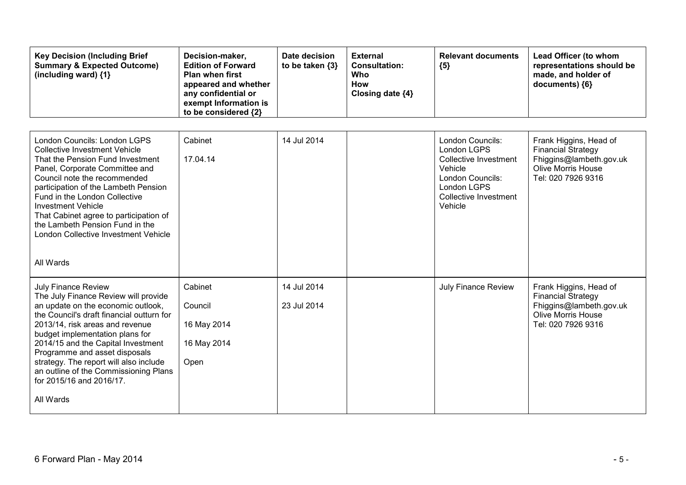| <b>Key Decision (Including Brief</b><br><b>Summary &amp; Expected Outcome)</b><br>(including ward) $\{1\}$                                                                                                                                                                                                                                                                                                                     | Decision-maker,<br><b>Edition of Forward</b><br><b>Plan when first</b><br>appeared and whether<br>any confidential or<br>exempt Information is<br>to be considered {2} | Date decision<br>to be taken {3} | <b>External</b><br><b>Consultation:</b><br>Who<br><b>How</b><br>Closing date {4} | <b>Relevant documents</b><br>${5}$                                                                                                                | Lead Officer (to whom<br>representations should be<br>made, and holder of<br>documents) {6}                                       |
|--------------------------------------------------------------------------------------------------------------------------------------------------------------------------------------------------------------------------------------------------------------------------------------------------------------------------------------------------------------------------------------------------------------------------------|------------------------------------------------------------------------------------------------------------------------------------------------------------------------|----------------------------------|----------------------------------------------------------------------------------|---------------------------------------------------------------------------------------------------------------------------------------------------|-----------------------------------------------------------------------------------------------------------------------------------|
| London Councils: London LGPS<br><b>Collective Investment Vehicle</b><br>That the Pension Fund Investment<br>Panel, Corporate Committee and<br>Council note the recommended<br>participation of the Lambeth Pension<br>Fund in the London Collective<br><b>Investment Vehicle</b><br>That Cabinet agree to participation of<br>the Lambeth Pension Fund in the<br>London Collective Investment Vehicle<br>All Wards             | Cabinet<br>17.04.14                                                                                                                                                    | 14 Jul 2014                      |                                                                                  | London Councils:<br>London LGPS<br><b>Collective Investment</b><br>Vehicle<br>London Councils:<br>London LGPS<br>Collective Investment<br>Vehicle | Frank Higgins, Head of<br><b>Financial Strategy</b><br>Fhiggins@lambeth.gov.uk<br><b>Olive Morris House</b><br>Tel: 020 7926 9316 |
| <b>July Finance Review</b><br>The July Finance Review will provide<br>an update on the economic outlook,<br>the Council's draft financial outturn for<br>2013/14, risk areas and revenue<br>budget implementation plans for<br>2014/15 and the Capital Investment<br>Programme and asset disposals<br>strategy. The report will also include<br>an outline of the Commissioning Plans<br>for 2015/16 and 2016/17.<br>All Wards | Cabinet<br>Council<br>16 May 2014<br>16 May 2014<br>Open                                                                                                               | 14 Jul 2014<br>23 Jul 2014       |                                                                                  | <b>July Finance Review</b>                                                                                                                        | Frank Higgins, Head of<br><b>Financial Strategy</b><br>Fhiggins@lambeth.gov.uk<br><b>Olive Morris House</b><br>Tel: 020 7926 9316 |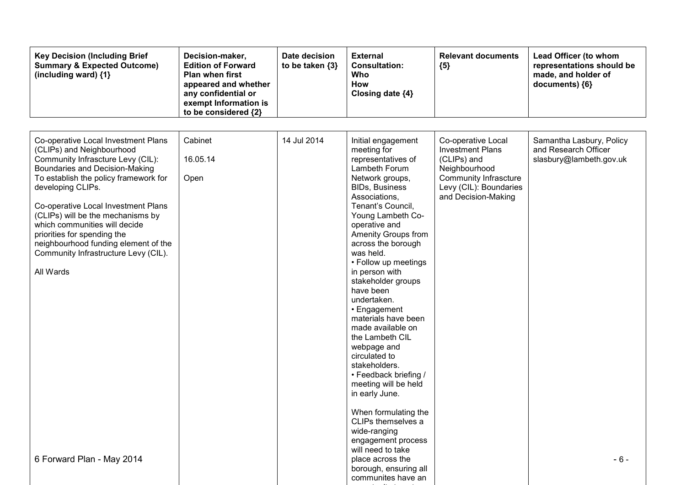| <b>Key Decision (Including Brief</b><br><b>Summary &amp; Expected Outcome)</b><br>(including ward) {1}                                                                                                                                                                                                                                                                                                                                         | Decision-maker,<br><b>Edition of Forward</b><br><b>Plan when first</b><br>appeared and whether<br>any confidential or<br>exempt Information is<br>to be considered {2} | Date decision<br>to be taken $\{3\}$ | <b>External</b><br><b>Consultation:</b><br>Who<br>How<br>Closing date {4}                                                                                                                                                                                                                                                                                                                                                                                                                                                                                 | <b>Relevant documents</b><br>${5}$                                                                                                                             | Lead Officer (to whom<br>representations should be<br>made, and holder of<br>documents) {6} |
|------------------------------------------------------------------------------------------------------------------------------------------------------------------------------------------------------------------------------------------------------------------------------------------------------------------------------------------------------------------------------------------------------------------------------------------------|------------------------------------------------------------------------------------------------------------------------------------------------------------------------|--------------------------------------|-----------------------------------------------------------------------------------------------------------------------------------------------------------------------------------------------------------------------------------------------------------------------------------------------------------------------------------------------------------------------------------------------------------------------------------------------------------------------------------------------------------------------------------------------------------|----------------------------------------------------------------------------------------------------------------------------------------------------------------|---------------------------------------------------------------------------------------------|
| Co-operative Local Investment Plans<br>(CLIPs) and Neighbourhood<br>Community Infrascture Levy (CIL):<br>Boundaries and Decision-Making<br>To establish the policy framework for<br>developing CLIPs.<br>Co-operative Local Investment Plans<br>(CLIPs) will be the mechanisms by<br>which communities will decide<br>priorities for spending the<br>neighbourhood funding element of the<br>Community Infrastructure Levy (CIL).<br>All Wards | Cabinet<br>16.05.14<br>Open                                                                                                                                            | 14 Jul 2014                          | Initial engagement<br>meeting for<br>representatives of<br>Lambeth Forum<br>Network groups,<br><b>BIDs, Business</b><br>Associations,<br>Tenant's Council,<br>Young Lambeth Co-<br>operative and<br>Amenity Groups from<br>across the borough<br>was held.<br>• Follow up meetings<br>in person with<br>stakeholder groups<br>have been<br>undertaken.<br>• Engagement<br>materials have been<br>made available on<br>the Lambeth CIL<br>webpage and<br>circulated to<br>stakeholders.<br>• Feedback briefing /<br>meeting will be held<br>in early June. | Co-operative Local<br><b>Investment Plans</b><br>(CLIPs) and<br>Neighbourhood<br><b>Community Infrascture</b><br>Levy (CIL): Boundaries<br>and Decision-Making | Samantha Lasbury, Policy<br>and Research Officer<br>slasbury@lambeth.gov.uk                 |
| 6 Forward Plan - May 2014                                                                                                                                                                                                                                                                                                                                                                                                                      |                                                                                                                                                                        |                                      | When formulating the<br>CLIPs themselves a<br>wide-ranging<br>engagement process<br>will need to take<br>place across the<br>borough, ensuring all<br>communites have an                                                                                                                                                                                                                                                                                                                                                                                  |                                                                                                                                                                | $-6-$                                                                                       |

opportunity to get a series of the series of the series of the series of the series of the series of the series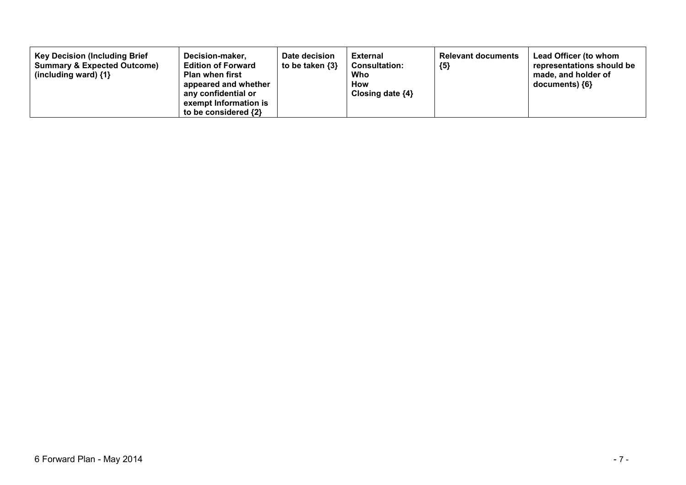| <b>Key Decision (Including Brief</b><br><b>Summary &amp; Expected Outcome)</b><br>(including ward) $\{1\}$ | Date decision<br>Decision-maker,<br>to be taken {3}<br><b>Edition of Forward</b><br><b>Plan when first</b><br>appeared and whether<br>any confidential or<br>exempt Information is<br>to be considered $\{2\}$ | <b>External</b><br><b>Consultation:</b><br>Who<br>How<br>Closing date $\{4\}$ | <b>Relevant documents</b><br>${5}$ | Lead Officer (to whom<br>representations should be<br>made, and holder of<br>documents) ${6}$ |
|------------------------------------------------------------------------------------------------------------|----------------------------------------------------------------------------------------------------------------------------------------------------------------------------------------------------------------|-------------------------------------------------------------------------------|------------------------------------|-----------------------------------------------------------------------------------------------|
|------------------------------------------------------------------------------------------------------------|----------------------------------------------------------------------------------------------------------------------------------------------------------------------------------------------------------------|-------------------------------------------------------------------------------|------------------------------------|-----------------------------------------------------------------------------------------------|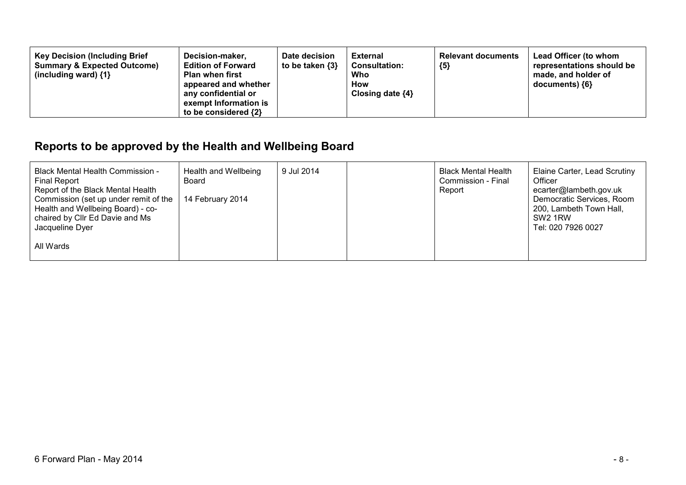| <b>Key Decision (Including Brief</b><br>Decision-maker,<br><b>Summary &amp; Expected Outcome)</b><br><b>Edition of Forward</b><br><b>Plan when first</b><br>(including ward) $\{1\}$<br>appeared and whether<br>any confidential or<br>exempt Information is<br>to be considered {2} | Date decision<br>to be taken {3} | External<br><b>Consultation:</b><br>Who<br>How<br>Closing date $\{4\}$ | <b>Relevant documents</b><br>${5}$ | Lead Officer (to whom<br>representations should be<br>made, and holder of<br>documents) ${6}$ |
|--------------------------------------------------------------------------------------------------------------------------------------------------------------------------------------------------------------------------------------------------------------------------------------|----------------------------------|------------------------------------------------------------------------|------------------------------------|-----------------------------------------------------------------------------------------------|
|--------------------------------------------------------------------------------------------------------------------------------------------------------------------------------------------------------------------------------------------------------------------------------------|----------------------------------|------------------------------------------------------------------------|------------------------------------|-----------------------------------------------------------------------------------------------|

## **Reports to be approved by the Health and Wellbeing Board**

| <b>Black Mental Health Commission -</b><br><b>Final Report</b><br>Report of the Black Mental Health<br>Commission (set up under remit of the<br>Health and Wellbeing Board) - co-<br>chaired by Cllr Ed Davie and Ms<br>Jacqueline Dyer | Health and Wellbeing<br>Board<br>14 February 2014 | 9 Jul 2014 | <b>Black Mental Health</b><br>Commission - Final<br>Report | Elaine Carter, Lead Scrutiny<br>Officer<br>ecarter@lambeth.gov.uk<br>Democratic Services, Room<br>200, Lambeth Town Hall,<br>SW <sub>2</sub> 1RW<br>Tel: 020 7926 0027 |
|-----------------------------------------------------------------------------------------------------------------------------------------------------------------------------------------------------------------------------------------|---------------------------------------------------|------------|------------------------------------------------------------|------------------------------------------------------------------------------------------------------------------------------------------------------------------------|
| All Wards                                                                                                                                                                                                                               |                                                   |            |                                                            |                                                                                                                                                                        |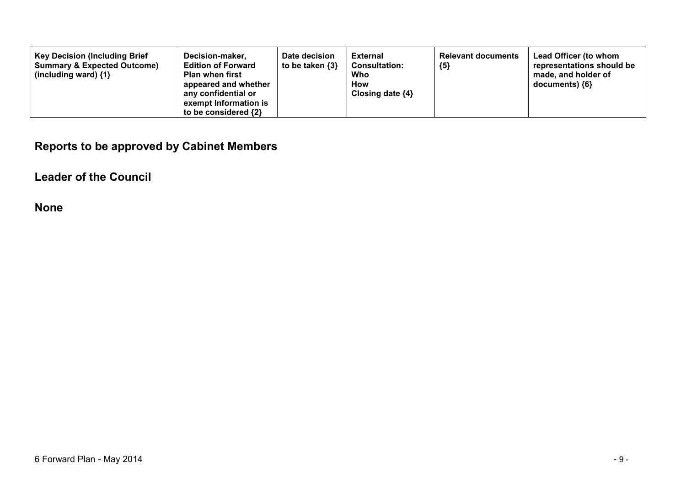| <b>Key Decision (Including Brief</b><br><b>Summary &amp; Expected Outcome)</b><br>(including ward) $\{1\}$ | Decision-maker,<br><b>Edition of Forward</b><br><b>Plan when first</b><br>appeared and whether<br>any confidential or<br>exempt Information is<br>to be considered {2} | Date decision<br>to be taken {3} | External<br><b>Consultation:</b><br>Who<br>How<br>Closing date $\{4\}$ | <b>Relevant documents</b><br>${5}$ | <b>Lead Officer (to whom</b><br>representations should be<br>made, and holder of<br>documents) {6} |
|------------------------------------------------------------------------------------------------------------|------------------------------------------------------------------------------------------------------------------------------------------------------------------------|----------------------------------|------------------------------------------------------------------------|------------------------------------|----------------------------------------------------------------------------------------------------|
|------------------------------------------------------------------------------------------------------------|------------------------------------------------------------------------------------------------------------------------------------------------------------------------|----------------------------------|------------------------------------------------------------------------|------------------------------------|----------------------------------------------------------------------------------------------------|

## **Reports to be approved by Cabinet Members**

## **Leader of the Council**

**None**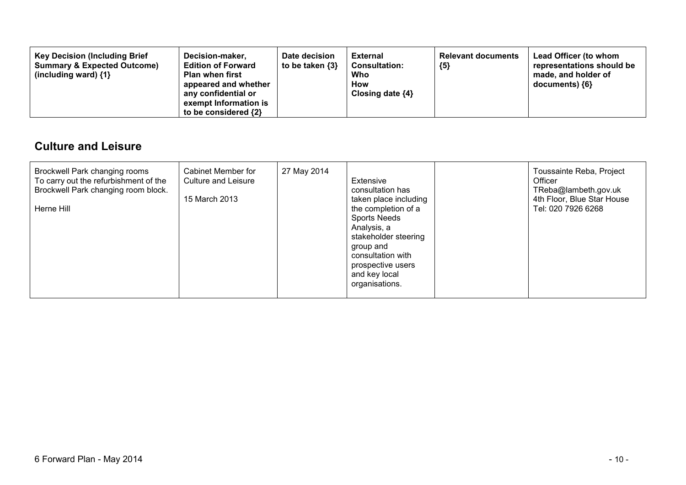| <b>Key Decision (Including Brief</b><br><b>Summary &amp; Expected Outcome)</b><br>(including ward) $\{1\}$ | Decision-maker,<br><b>Edition of Forward</b><br><b>Plan when first</b><br>appeared and whether<br>any confidential or<br>exempt Information is<br>to be considered $\{2\}$ | Date decision<br>to be taken {3} | <b>External</b><br><b>Consultation:</b><br>Who<br>How<br>Closing date $\{4\}$ | <b>Relevant documents</b><br>${5}$ | Lead Officer (to whom<br>representations should be<br>made, and holder of<br>documents) {6} |
|------------------------------------------------------------------------------------------------------------|----------------------------------------------------------------------------------------------------------------------------------------------------------------------------|----------------------------------|-------------------------------------------------------------------------------|------------------------------------|---------------------------------------------------------------------------------------------|
|------------------------------------------------------------------------------------------------------------|----------------------------------------------------------------------------------------------------------------------------------------------------------------------------|----------------------------------|-------------------------------------------------------------------------------|------------------------------------|---------------------------------------------------------------------------------------------|

### **Culture and Leisure**

| Brockwell Park changing rooms<br>To carry out the refurbishment of the<br>Brockwell Park changing room block.<br>Herne Hill | Cabinet Member for<br>Culture and Leisure<br>15 March 2013 | 27 May 2014 | Extensive<br>consultation has<br>taken place including<br>the completion of a<br><b>Sports Needs</b><br>Analysis, a<br>stakeholder steering<br>group and<br>consultation with<br>prospective users<br>and key local<br>organisations. |  | Toussainte Reba, Project<br>Officer<br>TReba@lambeth.gov.uk<br>4th Floor, Blue Star House<br>Tel: 020 7926 6268 |
|-----------------------------------------------------------------------------------------------------------------------------|------------------------------------------------------------|-------------|---------------------------------------------------------------------------------------------------------------------------------------------------------------------------------------------------------------------------------------|--|-----------------------------------------------------------------------------------------------------------------|
|-----------------------------------------------------------------------------------------------------------------------------|------------------------------------------------------------|-------------|---------------------------------------------------------------------------------------------------------------------------------------------------------------------------------------------------------------------------------------|--|-----------------------------------------------------------------------------------------------------------------|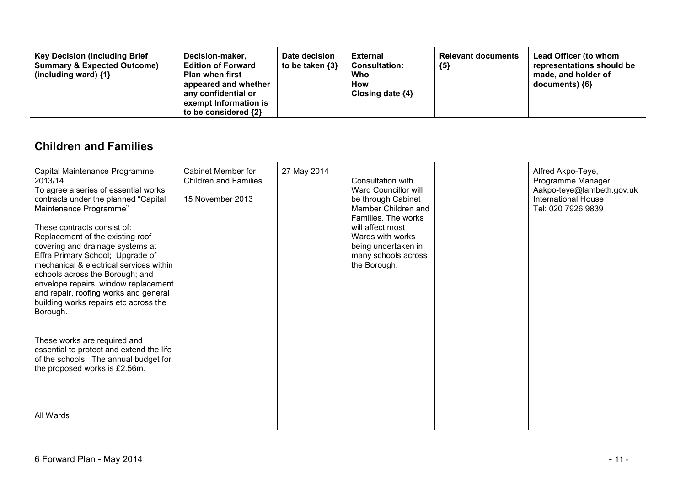| <b>Key Decision (Including Brief</b><br>Decision-maker,<br><b>Summary &amp; Expected Outcome)</b><br><b>Edition of Forward</b><br><b>Plan when first</b><br>(including ward) $\{1\}$<br>appeared and whether<br>any confidential or<br>exempt Information is<br>to be considered $\{2\}$ | Date decision<br>to be taken {3} | External<br><b>Consultation:</b><br>Who<br>How<br>Closing date $\{4\}$ | <b>Relevant documents</b><br>${5}$ | Lead Officer (to whom<br>representations should be<br>made, and holder of<br>documents) ${6}$ |
|------------------------------------------------------------------------------------------------------------------------------------------------------------------------------------------------------------------------------------------------------------------------------------------|----------------------------------|------------------------------------------------------------------------|------------------------------------|-----------------------------------------------------------------------------------------------|
|------------------------------------------------------------------------------------------------------------------------------------------------------------------------------------------------------------------------------------------------------------------------------------------|----------------------------------|------------------------------------------------------------------------|------------------------------------|-----------------------------------------------------------------------------------------------|

### **Children and Families**

| Capital Maintenance Programme<br>2013/14<br>To agree a series of essential works<br>contracts under the planned "Capital<br>Maintenance Programme"<br>These contracts consist of:<br>Replacement of the existing roof<br>covering and drainage systems at<br>Effra Primary School; Upgrade of<br>mechanical & electrical services within<br>schools across the Borough; and<br>envelope repairs, window replacement<br>and repair, roofing works and general<br>building works repairs etc across the<br>Borough.<br>These works are required and<br>essential to protect and extend the life<br>of the schools. The annual budget for<br>the proposed works is £2.56m. | Cabinet Member for<br><b>Children and Families</b><br>15 November 2013 | 27 May 2014 | Consultation with<br>Ward Councillor will<br>be through Cabinet<br>Member Children and<br>Families. The works<br>will affect most<br>Wards with works<br>being undertaken in<br>many schools across<br>the Borough. | Alfred Akpo-Teye,<br>Programme Manager<br>Aakpo-teye@lambeth.gov.uk<br><b>International House</b><br>Tel: 020 7926 9839 |
|-------------------------------------------------------------------------------------------------------------------------------------------------------------------------------------------------------------------------------------------------------------------------------------------------------------------------------------------------------------------------------------------------------------------------------------------------------------------------------------------------------------------------------------------------------------------------------------------------------------------------------------------------------------------------|------------------------------------------------------------------------|-------------|---------------------------------------------------------------------------------------------------------------------------------------------------------------------------------------------------------------------|-------------------------------------------------------------------------------------------------------------------------|
| All Wards                                                                                                                                                                                                                                                                                                                                                                                                                                                                                                                                                                                                                                                               |                                                                        |             |                                                                                                                                                                                                                     |                                                                                                                         |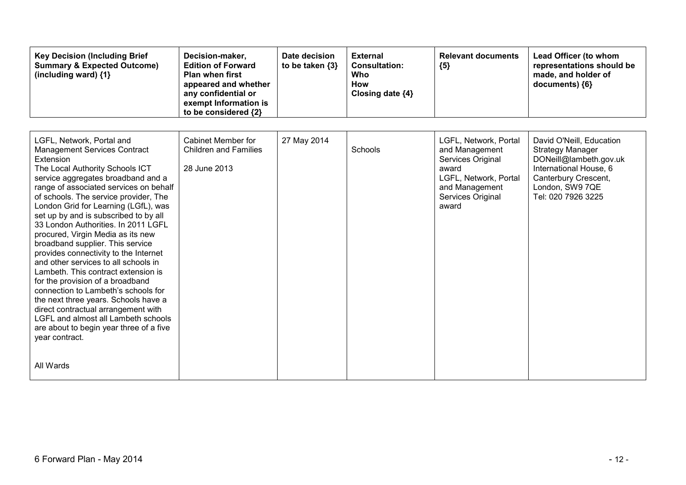| <b>Key Decision (Including Brief</b><br><b>Summary &amp; Expected Outcome)</b><br>(including ward) {1}                                                                                                                                                                                                                                                                                                                                                                                                                                                                                                                                                                                                                                                                                                                                               | Decision-maker,<br><b>Edition of Forward</b><br><b>Plan when first</b><br>appeared and whether<br>any confidential or<br>exempt Information is<br>to be considered {2} | Date decision<br>to be taken {3} | <b>External</b><br><b>Consultation:</b><br>Who<br><b>How</b><br>Closing date {4} | <b>Relevant documents</b><br>${5}$                                                                                                             | Lead Officer (to whom<br>representations should be<br>made, and holder of<br>documents) {6}                                                                              |
|------------------------------------------------------------------------------------------------------------------------------------------------------------------------------------------------------------------------------------------------------------------------------------------------------------------------------------------------------------------------------------------------------------------------------------------------------------------------------------------------------------------------------------------------------------------------------------------------------------------------------------------------------------------------------------------------------------------------------------------------------------------------------------------------------------------------------------------------------|------------------------------------------------------------------------------------------------------------------------------------------------------------------------|----------------------------------|----------------------------------------------------------------------------------|------------------------------------------------------------------------------------------------------------------------------------------------|--------------------------------------------------------------------------------------------------------------------------------------------------------------------------|
| LGFL, Network, Portal and<br><b>Management Services Contract</b><br>Extension<br>The Local Authority Schools ICT<br>service aggregates broadband and a<br>range of associated services on behalf<br>of schools. The service provider, The<br>London Grid for Learning (LGfL), was<br>set up by and is subscribed to by all<br>33 London Authorities. In 2011 LGFL<br>procured, Virgin Media as its new<br>broadband supplier. This service<br>provides connectivity to the Internet<br>and other services to all schools in<br>Lambeth. This contract extension is<br>for the provision of a broadband<br>connection to Lambeth's schools for<br>the next three years. Schools have a<br>direct contractual arrangement with<br><b>LGFL and almost all Lambeth schools</b><br>are about to begin year three of a five<br>year contract.<br>All Wards | Cabinet Member for<br><b>Children and Families</b><br>28 June 2013                                                                                                     | 27 May 2014                      | Schools                                                                          | LGFL, Network, Portal<br>and Management<br>Services Original<br>award<br>LGFL, Network, Portal<br>and Management<br>Services Original<br>award | David O'Neill, Education<br><b>Strategy Manager</b><br>DONeill@lambeth.gov.uk<br>International House, 6<br>Canterbury Crescent,<br>London, SW9 7QE<br>Tel: 020 7926 3225 |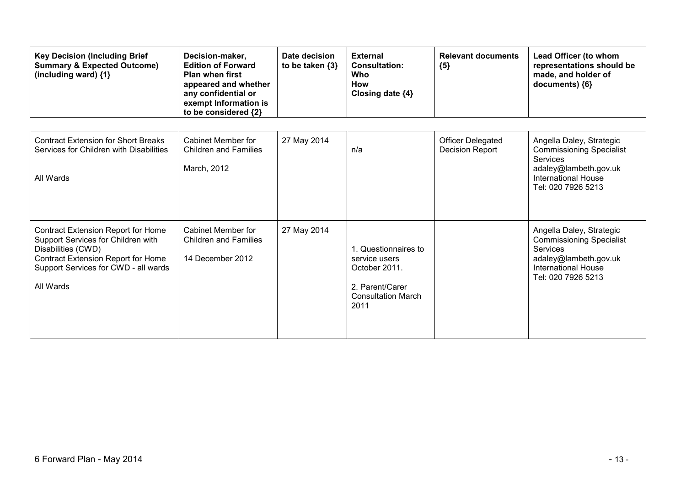| <b>Key Decision (Including Brief</b><br><b>Summary &amp; Expected Outcome)</b><br>(including ward) $\{1\}$                                                                                              | Decision-maker,<br><b>Edition of Forward</b><br><b>Plan when first</b><br>appeared and whether<br>any confidential or<br>exempt Information is<br>to be considered {2} | Date decision<br>to be taken {3} | <b>External</b><br><b>Consultation:</b><br>Who<br><b>How</b><br>Closing date {4}                               | <b>Relevant documents</b><br>${5}$          | Lead Officer (to whom<br>representations should be<br>made, and holder of<br>documents) {6}                                                                 |
|---------------------------------------------------------------------------------------------------------------------------------------------------------------------------------------------------------|------------------------------------------------------------------------------------------------------------------------------------------------------------------------|----------------------------------|----------------------------------------------------------------------------------------------------------------|---------------------------------------------|-------------------------------------------------------------------------------------------------------------------------------------------------------------|
| <b>Contract Extension for Short Breaks</b><br>Services for Children with Disabilities<br>All Wards                                                                                                      | Cabinet Member for<br><b>Children and Families</b><br>March, 2012                                                                                                      | 27 May 2014                      | n/a                                                                                                            | Officer Delegated<br><b>Decision Report</b> | Angella Daley, Strategic<br><b>Commissioning Specialist</b><br><b>Services</b><br>adaley@lambeth.gov.uk<br><b>International House</b><br>Tel: 020 7926 5213 |
| <b>Contract Extension Report for Home</b><br>Support Services for Children with<br>Disabilities (CWD)<br><b>Contract Extension Report for Home</b><br>Support Services for CWD - all wards<br>All Wards | Cabinet Member for<br><b>Children and Families</b><br>14 December 2012                                                                                                 | 27 May 2014                      | 1. Questionnaires to<br>service users<br>October 2011.<br>2. Parent/Carer<br><b>Consultation March</b><br>2011 |                                             | Angella Daley, Strategic<br><b>Commissioning Specialist</b><br><b>Services</b><br>adaley@lambeth.gov.uk<br><b>International House</b><br>Tel: 020 7926 5213 |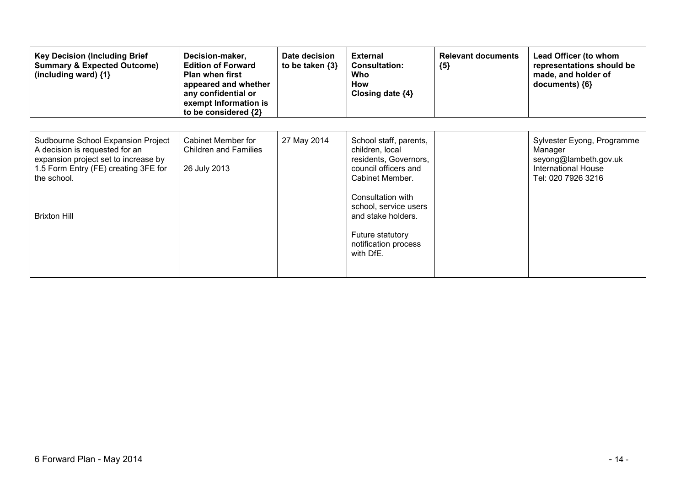| <b>Key Decision (Including Brief</b><br><b>Summary &amp; Expected Outcome)</b><br>(including ward) $\{1\}$                                                                                 | Decision-maker,<br><b>Edition of Forward</b><br><b>Plan when first</b><br>appeared and whether<br>any confidential or<br>exempt Information is<br>to be considered {2} | Date decision<br>to be taken $\{3\}$ | <b>External</b><br><b>Consultation:</b><br>Who<br>How<br>Closing date $\{4\}$                                                                                                                                                              | <b>Relevant documents</b><br>${5}$ | Lead Officer (to whom<br>representations should be<br>made, and holder of<br>documents) ${6}$                      |
|--------------------------------------------------------------------------------------------------------------------------------------------------------------------------------------------|------------------------------------------------------------------------------------------------------------------------------------------------------------------------|--------------------------------------|--------------------------------------------------------------------------------------------------------------------------------------------------------------------------------------------------------------------------------------------|------------------------------------|--------------------------------------------------------------------------------------------------------------------|
| Sudbourne School Expansion Project<br>A decision is requested for an<br>expansion project set to increase by<br>1.5 Form Entry (FE) creating 3FE for<br>the school.<br><b>Brixton Hill</b> | Cabinet Member for<br><b>Children and Families</b><br>26 July 2013                                                                                                     | 27 May 2014                          | School staff, parents,<br>children, local<br>residents, Governors,<br>council officers and<br>Cabinet Member.<br>Consultation with<br>school, service users<br>and stake holders.<br>Future statutory<br>notification process<br>with DfE. |                                    | Sylvester Eyong, Programme<br>Manager<br>seyong@lambeth.gov.uk<br><b>International House</b><br>Tel: 020 7926 3216 |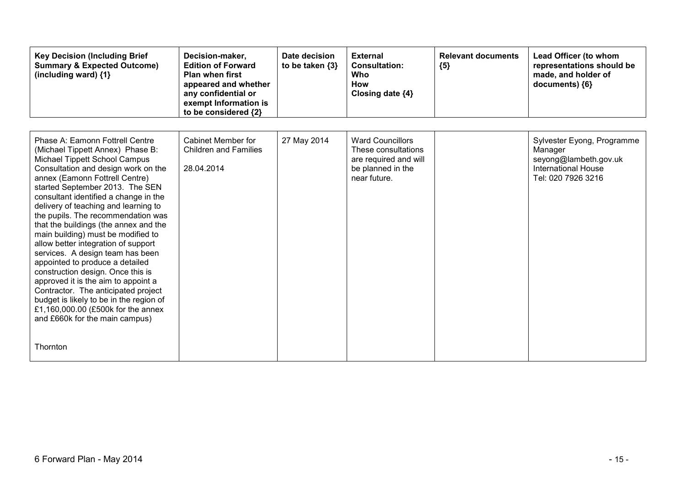| <b>Key Decision (Including Brief</b><br><b>Summary &amp; Expected Outcome)</b><br>(including ward) $\{1\}$                                                                                                                                                                                                                                                                                                                                                                                                                                                                                                                                                                                                                                                                             | Decision-maker,<br><b>Edition of Forward</b><br><b>Plan when first</b><br>appeared and whether<br>any confidential or<br>exempt Information is<br>to be considered {2} | Date decision<br>to be taken {3} | <b>External</b><br><b>Consultation:</b><br>Who<br><b>How</b><br>Closing date {4}                             | <b>Relevant documents</b><br>${5}$ | Lead Officer (to whom<br>representations should be<br>made, and holder of<br>documents) ${6}$                      |
|----------------------------------------------------------------------------------------------------------------------------------------------------------------------------------------------------------------------------------------------------------------------------------------------------------------------------------------------------------------------------------------------------------------------------------------------------------------------------------------------------------------------------------------------------------------------------------------------------------------------------------------------------------------------------------------------------------------------------------------------------------------------------------------|------------------------------------------------------------------------------------------------------------------------------------------------------------------------|----------------------------------|--------------------------------------------------------------------------------------------------------------|------------------------------------|--------------------------------------------------------------------------------------------------------------------|
| Phase A: Eamonn Fottrell Centre<br>(Michael Tippett Annex) Phase B:<br>Michael Tippett School Campus<br>Consultation and design work on the<br>annex (Eamonn Fottrell Centre)<br>started September 2013. The SEN<br>consultant identified a change in the<br>delivery of teaching and learning to<br>the pupils. The recommendation was<br>that the buildings (the annex and the<br>main building) must be modified to<br>allow better integration of support<br>services. A design team has been<br>appointed to produce a detailed<br>construction design. Once this is<br>approved it is the aim to appoint a<br>Contractor. The anticipated project<br>budget is likely to be in the region of<br>£1,160,000.00 (£500k for the annex<br>and £660k for the main campus)<br>Thornton | Cabinet Member for<br><b>Children and Families</b><br>28.04.2014                                                                                                       | 27 May 2014                      | <b>Ward Councillors</b><br>These consultations<br>are required and will<br>be planned in the<br>near future. |                                    | Sylvester Eyong, Programme<br>Manager<br>seyong@lambeth.gov.uk<br><b>International House</b><br>Tel: 020 7926 3216 |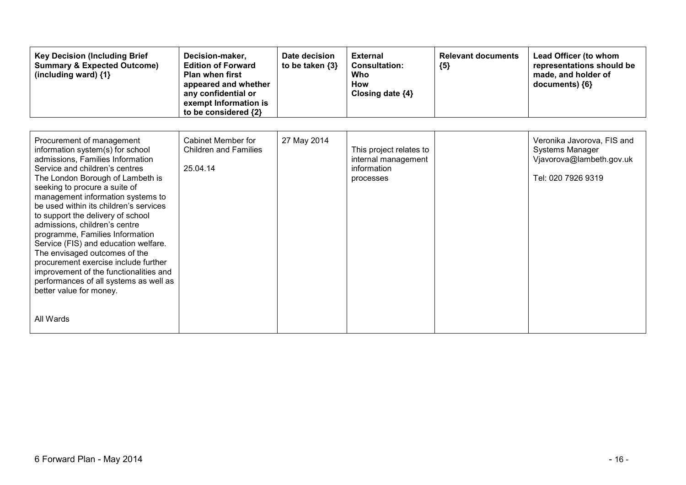| <b>Key Decision (Including Brief</b><br><b>Summary &amp; Expected Outcome)</b><br>(including ward) {1}                                                                                                                                                                                                                                                                                                                                                                                                                                                                                                                                        | Decision-maker,<br><b>Edition of Forward</b><br><b>Plan when first</b><br>appeared and whether<br>any confidential or<br>exempt Information is<br>to be considered {2} | Date decision<br>to be taken $\{3\}$ | <b>External</b><br><b>Consultation:</b><br>Who<br><b>How</b><br>Closing date {4} | <b>Relevant documents</b><br>${5}$ | Lead Officer (to whom<br>representations should be<br>made, and holder of<br>documents) ${6}$   |
|-----------------------------------------------------------------------------------------------------------------------------------------------------------------------------------------------------------------------------------------------------------------------------------------------------------------------------------------------------------------------------------------------------------------------------------------------------------------------------------------------------------------------------------------------------------------------------------------------------------------------------------------------|------------------------------------------------------------------------------------------------------------------------------------------------------------------------|--------------------------------------|----------------------------------------------------------------------------------|------------------------------------|-------------------------------------------------------------------------------------------------|
| Procurement of management<br>information system(s) for school<br>admissions, Families Information<br>Service and children's centres<br>The London Borough of Lambeth is<br>seeking to procure a suite of<br>management information systems to<br>be used within its children's services<br>to support the delivery of school<br>admissions, children's centre<br>programme, Families Information<br>Service (FIS) and education welfare.<br>The envisaged outcomes of the<br>procurement exercise include further<br>improvement of the functionalities and<br>performances of all systems as well as<br>better value for money.<br>All Wards | Cabinet Member for<br><b>Children and Families</b><br>25.04.14                                                                                                         | 27 May 2014                          | This project relates to<br>internal management<br>information<br>processes       |                                    | Veronika Javorova, FIS and<br>Systems Manager<br>Vjavorova@lambeth.gov.uk<br>Tel: 020 7926 9319 |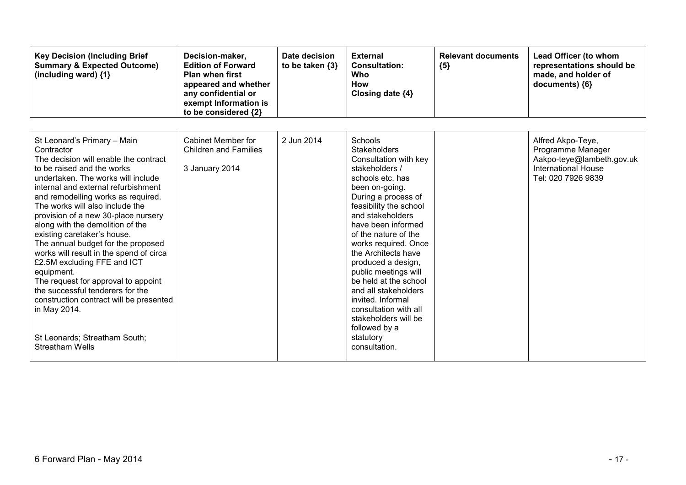| <b>Key Decision (Including Brief</b><br><b>Summary &amp; Expected Outcome)</b><br>(including ward) {1}                                                                                                                                                                                                                                                                                                                                                                                                                                                                                                                                                                                                          | Decision-maker,<br><b>Edition of Forward</b><br><b>Plan when first</b><br>appeared and whether<br>any confidential or<br>exempt Information is<br>to be considered {2} | Date decision<br>to be taken {3} | <b>External</b><br><b>Consultation:</b><br>Who<br>How<br>Closing date {4}                                                                                                                                                                                                                                                                                                                                                                                                                             | <b>Relevant documents</b><br>${5}$ | Lead Officer (to whom<br>representations should be<br>made, and holder of<br>documents) {6}                             |
|-----------------------------------------------------------------------------------------------------------------------------------------------------------------------------------------------------------------------------------------------------------------------------------------------------------------------------------------------------------------------------------------------------------------------------------------------------------------------------------------------------------------------------------------------------------------------------------------------------------------------------------------------------------------------------------------------------------------|------------------------------------------------------------------------------------------------------------------------------------------------------------------------|----------------------------------|-------------------------------------------------------------------------------------------------------------------------------------------------------------------------------------------------------------------------------------------------------------------------------------------------------------------------------------------------------------------------------------------------------------------------------------------------------------------------------------------------------|------------------------------------|-------------------------------------------------------------------------------------------------------------------------|
| St Leonard's Primary - Main<br>Contractor<br>The decision will enable the contract<br>to be raised and the works<br>undertaken. The works will include<br>internal and external refurbishment<br>and remodelling works as required.<br>The works will also include the<br>provision of a new 30-place nursery<br>along with the demolition of the<br>existing caretaker's house.<br>The annual budget for the proposed<br>works will result in the spend of circa<br>£2.5M excluding FFE and ICT<br>equipment.<br>The request for approval to appoint<br>the successful tenderers for the<br>construction contract will be presented<br>in May 2014.<br>St Leonards; Streatham South;<br><b>Streatham Wells</b> | Cabinet Member for<br><b>Children and Families</b><br>3 January 2014                                                                                                   | 2 Jun 2014                       | Schools<br><b>Stakeholders</b><br>Consultation with key<br>stakeholders /<br>schools etc. has<br>been on-going.<br>During a process of<br>feasibility the school<br>and stakeholders<br>have been informed<br>of the nature of the<br>works required. Once<br>the Architects have<br>produced a design,<br>public meetings will<br>be held at the school<br>and all stakeholders<br>invited. Informal<br>consultation with all<br>stakeholders will be<br>followed by a<br>statutory<br>consultation. |                                    | Alfred Akpo-Teye,<br>Programme Manager<br>Aakpo-teye@lambeth.gov.uk<br><b>International House</b><br>Tel: 020 7926 9839 |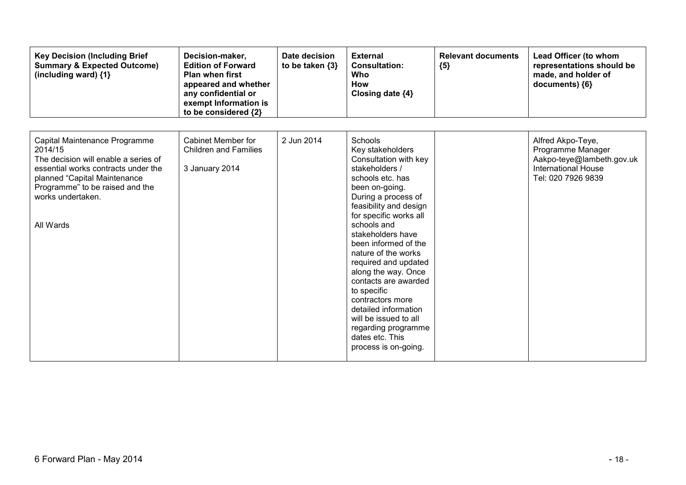| <b>Key Decision (Including Brief</b><br><b>Summary &amp; Expected Outcome)</b><br>(including ward) {1}                                                                                                                       | Decision-maker,<br><b>Edition of Forward</b><br><b>Plan when first</b><br>appeared and whether<br>any confidential or<br>exempt Information is<br>to be considered {2} | Date decision<br>to be taken $\{3\}$ | <b>External</b><br><b>Consultation:</b><br>Who<br><b>How</b><br>Closing date {4}                                                                                                                                                                                                                                                                                                                                                                                                                        | <b>Relevant documents</b><br>${5}$ | Lead Officer (to whom<br>representations should be<br>made, and holder of<br>documents) {6}                             |
|------------------------------------------------------------------------------------------------------------------------------------------------------------------------------------------------------------------------------|------------------------------------------------------------------------------------------------------------------------------------------------------------------------|--------------------------------------|---------------------------------------------------------------------------------------------------------------------------------------------------------------------------------------------------------------------------------------------------------------------------------------------------------------------------------------------------------------------------------------------------------------------------------------------------------------------------------------------------------|------------------------------------|-------------------------------------------------------------------------------------------------------------------------|
| Capital Maintenance Programme<br>2014/15<br>The decision will enable a series of<br>essential works contracts under the<br>planned "Capital Maintenance<br>Programme" to be raised and the<br>works undertaken.<br>All Wards | <b>Cabinet Member for</b><br><b>Children and Families</b><br>3 January 2014                                                                                            | 2 Jun 2014                           | Schools<br>Key stakeholders<br>Consultation with key<br>stakeholders /<br>schools etc. has<br>been on-going.<br>During a process of<br>feasibility and design<br>for specific works all<br>schools and<br>stakeholders have<br>been informed of the<br>nature of the works<br>required and updated<br>along the way. Once<br>contacts are awarded<br>to specific<br>contractors more<br>detailed information<br>will be issued to all<br>regarding programme<br>dates etc. This<br>process is on-going. |                                    | Alfred Akpo-Teye,<br>Programme Manager<br>Aakpo-teye@lambeth.gov.uk<br><b>International House</b><br>Tel: 020 7926 9839 |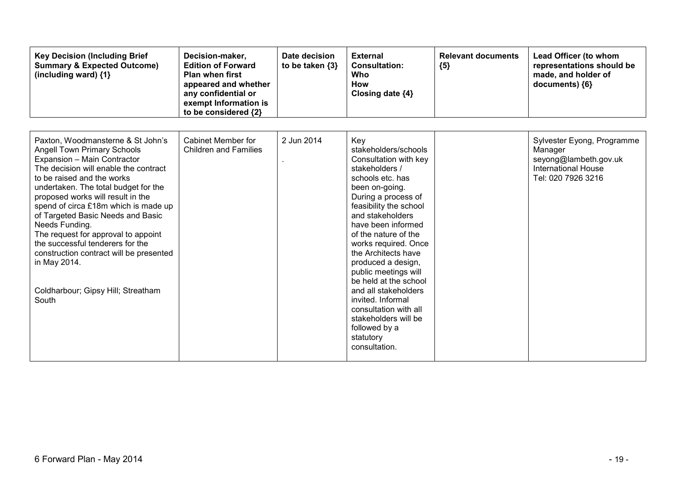| <b>Key Decision (Including Brief</b><br><b>Summary &amp; Expected Outcome)</b><br>(including ward) {1}                                                                                                                                                                                                                                                                                                                                                                                                                                         | Decision-maker,<br><b>Edition of Forward</b><br><b>Plan when first</b><br>appeared and whether<br>any confidential or<br>exempt Information is<br>to be considered {2} | Date decision<br>to be taken $\{3\}$ | <b>External</b><br><b>Consultation:</b><br>Who<br>How<br>Closing date {4}                                                                                                                                                                                                                                                                                                                                                                                                                          | <b>Relevant documents</b><br>${5}$ | Lead Officer (to whom<br>representations should be<br>made, and holder of<br>documents) {6}                        |
|------------------------------------------------------------------------------------------------------------------------------------------------------------------------------------------------------------------------------------------------------------------------------------------------------------------------------------------------------------------------------------------------------------------------------------------------------------------------------------------------------------------------------------------------|------------------------------------------------------------------------------------------------------------------------------------------------------------------------|--------------------------------------|----------------------------------------------------------------------------------------------------------------------------------------------------------------------------------------------------------------------------------------------------------------------------------------------------------------------------------------------------------------------------------------------------------------------------------------------------------------------------------------------------|------------------------------------|--------------------------------------------------------------------------------------------------------------------|
| Paxton, Woodmansterne & St John's<br><b>Angell Town Primary Schools</b><br>Expansion - Main Contractor<br>The decision will enable the contract<br>to be raised and the works<br>undertaken. The total budget for the<br>proposed works will result in the<br>spend of circa £18m which is made up<br>of Targeted Basic Needs and Basic<br>Needs Funding.<br>The request for approval to appoint<br>the successful tenderers for the<br>construction contract will be presented<br>in May 2014.<br>Coldharbour; Gipsy Hill; Streatham<br>South | Cabinet Member for<br><b>Children and Families</b>                                                                                                                     | 2 Jun 2014                           | Key<br>stakeholders/schools<br>Consultation with key<br>stakeholders /<br>schools etc. has<br>been on-going.<br>During a process of<br>feasibility the school<br>and stakeholders<br>have been informed<br>of the nature of the<br>works required. Once<br>the Architects have<br>produced a design,<br>public meetings will<br>be held at the school<br>and all stakeholders<br>invited. Informal<br>consultation with all<br>stakeholders will be<br>followed by a<br>statutory<br>consultation. |                                    | Sylvester Eyong, Programme<br>Manager<br>seyong@lambeth.gov.uk<br><b>International House</b><br>Tel: 020 7926 3216 |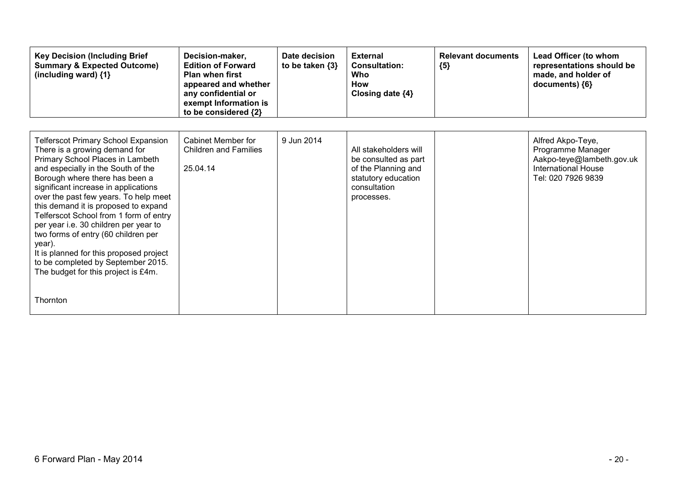| <b>Key Decision (Including Brief</b><br><b>Summary &amp; Expected Outcome)</b><br>(including ward) {1}                                                                                                                                                                                                                                                                                                                                                                                                                                                                                   | Decision-maker,<br><b>Edition of Forward</b><br><b>Plan when first</b><br>appeared and whether<br>any confidential or<br>exempt Information is<br>to be considered {2} | Date decision<br>to be taken $\{3\}$ | <b>External</b><br><b>Consultation:</b><br>Who<br><b>How</b><br>Closing date $\{4\}$                                      | <b>Relevant documents</b><br>${5}$ | Lead Officer (to whom<br>representations should be<br>made, and holder of<br>documents) {6}                             |
|------------------------------------------------------------------------------------------------------------------------------------------------------------------------------------------------------------------------------------------------------------------------------------------------------------------------------------------------------------------------------------------------------------------------------------------------------------------------------------------------------------------------------------------------------------------------------------------|------------------------------------------------------------------------------------------------------------------------------------------------------------------------|--------------------------------------|---------------------------------------------------------------------------------------------------------------------------|------------------------------------|-------------------------------------------------------------------------------------------------------------------------|
| <b>Telferscot Primary School Expansion</b><br>There is a growing demand for<br>Primary School Places in Lambeth<br>and especially in the South of the<br>Borough where there has been a<br>significant increase in applications<br>over the past few years. To help meet<br>this demand it is proposed to expand<br>Telferscot School from 1 form of entry<br>per year i.e. 30 children per year to<br>two forms of entry (60 children per<br>year).<br>It is planned for this proposed project<br>to be completed by September 2015.<br>The budget for this project is £4m.<br>Thornton | Cabinet Member for<br><b>Children and Families</b><br>25.04.14                                                                                                         | 9 Jun 2014                           | All stakeholders will<br>be consulted as part<br>of the Planning and<br>statutory education<br>consultation<br>processes. |                                    | Alfred Akpo-Teye,<br>Programme Manager<br>Aakpo-teye@lambeth.gov.uk<br><b>International House</b><br>Tel: 020 7926 9839 |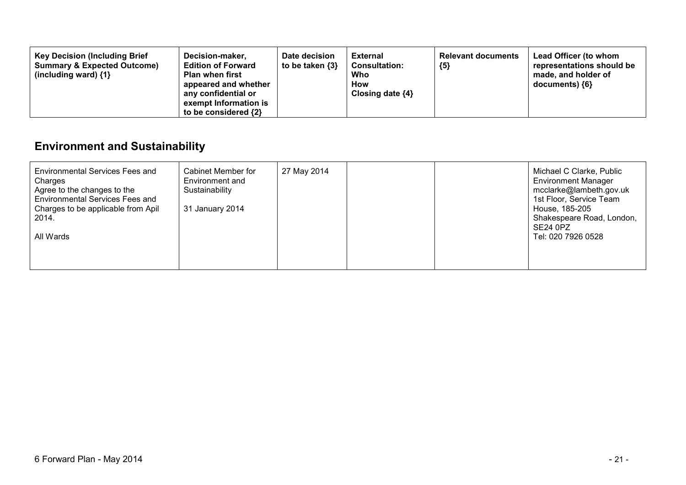| <b>Key Decision (Including Brief</b><br><b>Summary &amp; Expected Outcome)</b><br>(including ward) $\{1\}$ | Decision-maker,<br><b>Edition of Forward</b><br><b>Plan when first</b><br>appeared and whether<br>any confidential or<br>exempt Information is<br>to be considered {2} | Date decision<br>to be taken {3} | <b>External</b><br><b>Consultation:</b><br>Who<br>How<br>Closing date $\{4\}$ | <b>Relevant documents</b><br>${5}$ | Lead Officer (to whom<br>representations should be<br>made, and holder of<br>documents) {6} |
|------------------------------------------------------------------------------------------------------------|------------------------------------------------------------------------------------------------------------------------------------------------------------------------|----------------------------------|-------------------------------------------------------------------------------|------------------------------------|---------------------------------------------------------------------------------------------|
|------------------------------------------------------------------------------------------------------------|------------------------------------------------------------------------------------------------------------------------------------------------------------------------|----------------------------------|-------------------------------------------------------------------------------|------------------------------------|---------------------------------------------------------------------------------------------|

## **Environment and Sustainability**

| Environmental Services Fees and<br>Charges<br>Agree to the changes to the<br><b>Environmental Services Fees and</b><br>Charges to be applicable from Apil<br>2014.<br>All Wards | Cabinet Member for<br>Environment and<br>Sustainability<br>31 January 2014 | 27 May 2014 |  | Michael C Clarke, Public<br><b>Environment Manager</b><br>mcclarke@lambeth.gov.uk<br>1st Floor, Service Team<br>House, 185-205<br>Shakespeare Road, London,<br><b>SE24 0PZ</b><br>Tel: 020 7926 0528 |
|---------------------------------------------------------------------------------------------------------------------------------------------------------------------------------|----------------------------------------------------------------------------|-------------|--|------------------------------------------------------------------------------------------------------------------------------------------------------------------------------------------------------|
|                                                                                                                                                                                 |                                                                            |             |  |                                                                                                                                                                                                      |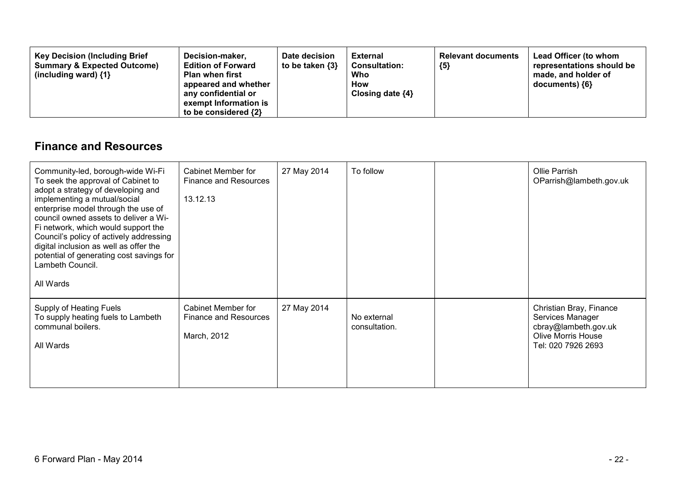| <b>Key Decision (Including Brief</b><br>Decision-maker,<br><b>Summary &amp; Expected Outcome)</b><br><b>Edition of Forward</b><br><b>Plan when first</b><br>(including ward) $\{1\}$<br>appeared and whether<br>any confidential or<br>exempt Information is<br>to be considered {2} | Date decision<br>to be taken {3} | <b>External</b><br><b>Consultation:</b><br>Who<br>How<br>Closing date $\{4\}$ | <b>Relevant documents</b><br>${5}$ | Lead Officer (to whom<br>representations should be<br>made, and holder of<br>documents) ${6}$ |
|--------------------------------------------------------------------------------------------------------------------------------------------------------------------------------------------------------------------------------------------------------------------------------------|----------------------------------|-------------------------------------------------------------------------------|------------------------------------|-----------------------------------------------------------------------------------------------|
|--------------------------------------------------------------------------------------------------------------------------------------------------------------------------------------------------------------------------------------------------------------------------------------|----------------------------------|-------------------------------------------------------------------------------|------------------------------------|-----------------------------------------------------------------------------------------------|

#### **Finance and Resources**

| Community-led, borough-wide Wi-Fi<br>To seek the approval of Cabinet to<br>adopt a strategy of developing and<br>implementing a mutual/social<br>enterprise model through the use of<br>council owned assets to deliver a Wi-<br>Fi network, which would support the<br>Council's policy of actively addressing<br>digital inclusion as well as offer the<br>potential of generating cost savings for<br>Lambeth Council.<br>All Wards | <b>Cabinet Member for</b><br><b>Finance and Resources</b><br>13.12.13    | 27 May 2014 | To follow                    | Ollie Parrish<br>OParrish@lambeth.gov.uk                                                                               |
|----------------------------------------------------------------------------------------------------------------------------------------------------------------------------------------------------------------------------------------------------------------------------------------------------------------------------------------------------------------------------------------------------------------------------------------|--------------------------------------------------------------------------|-------------|------------------------------|------------------------------------------------------------------------------------------------------------------------|
| Supply of Heating Fuels<br>To supply heating fuels to Lambeth<br>communal boilers.<br>All Wards                                                                                                                                                                                                                                                                                                                                        | <b>Cabinet Member for</b><br><b>Finance and Resources</b><br>March, 2012 | 27 May 2014 | No external<br>consultation. | Christian Bray, Finance<br>Services Manager<br>cbray@lambeth.gov.uk<br><b>Olive Morris House</b><br>Tel: 020 7926 2693 |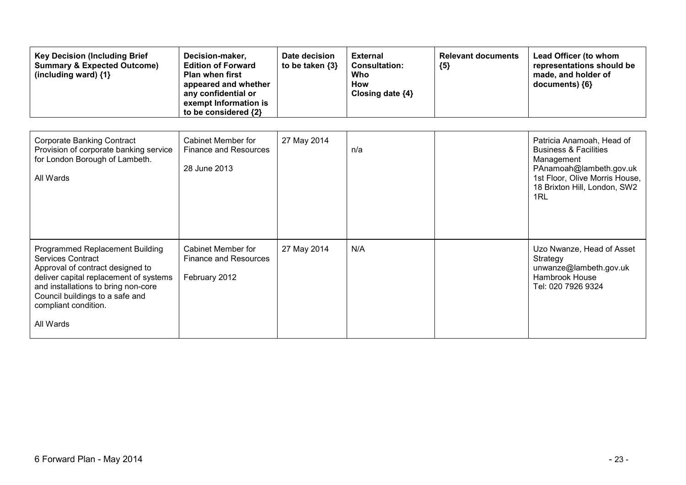| <b>Key Decision (Including Brief</b><br><b>Summary &amp; Expected Outcome)</b><br>(including ward) $\{1\}$                                                                                                                                               | Decision-maker,<br><b>Edition of Forward</b><br><b>Plan when first</b><br>appeared and whether<br>any confidential or<br>exempt Information is<br>to be considered {2} | Date decision<br>to be taken {3} | <b>External</b><br><b>Consultation:</b><br>Who<br><b>How</b><br>Closing date {4} | <b>Relevant documents</b><br>${5}$ | Lead Officer (to whom<br>representations should be<br>made, and holder of<br>documents) {6}                                                                                     |
|----------------------------------------------------------------------------------------------------------------------------------------------------------------------------------------------------------------------------------------------------------|------------------------------------------------------------------------------------------------------------------------------------------------------------------------|----------------------------------|----------------------------------------------------------------------------------|------------------------------------|---------------------------------------------------------------------------------------------------------------------------------------------------------------------------------|
| <b>Corporate Banking Contract</b><br>Provision of corporate banking service<br>for London Borough of Lambeth.<br>All Wards                                                                                                                               | Cabinet Member for<br><b>Finance and Resources</b><br>28 June 2013                                                                                                     | 27 May 2014                      | n/a                                                                              |                                    | Patricia Anamoah, Head of<br><b>Business &amp; Facilities</b><br>Management<br>PAnamoah@lambeth.gov.uk<br>1st Floor, Olive Morris House,<br>18 Brixton Hill, London, SW2<br>1RL |
| Programmed Replacement Building<br><b>Services Contract</b><br>Approval of contract designed to<br>deliver capital replacement of systems<br>and installations to bring non-core<br>Council buildings to a safe and<br>compliant condition.<br>All Wards | <b>Cabinet Member for</b><br><b>Finance and Resources</b><br>February 2012                                                                                             | 27 May 2014                      | N/A                                                                              |                                    | Uzo Nwanze, Head of Asset<br>Strategy<br>unwanze@lambeth.gov.uk<br><b>Hambrook House</b><br>Tel: 020 7926 9324                                                                  |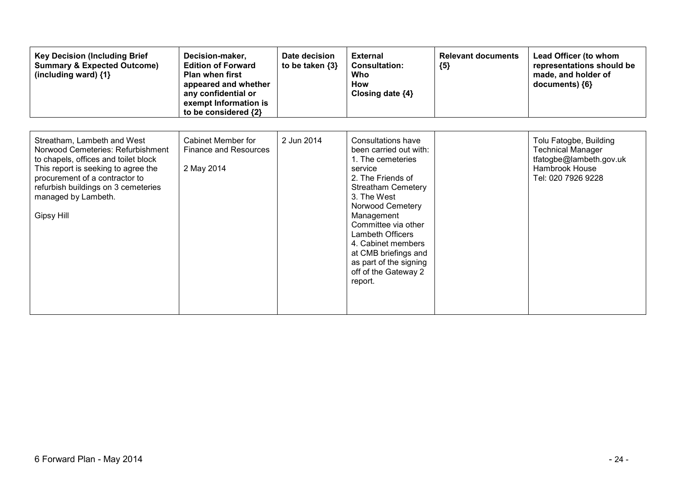| <b>Key Decision (Including Brief</b><br><b>Summary &amp; Expected Outcome)</b><br>(including ward) {1}                                                                                                                                                        | Decision-maker,<br><b>Edition of Forward</b><br>Plan when first<br>appeared and whether<br>any confidential or<br>exempt Information is<br>to be considered {2} | Date decision<br>to be taken $\{3\}$ | <b>External</b><br><b>Consultation:</b><br>Who<br><b>How</b><br>Closing date {4}                                                                                                                                                                                                                                                      | <b>Relevant documents</b><br>${5}$ | Lead Officer (to whom<br>representations should be<br>made, and holder of<br>documents) {6}                           |
|---------------------------------------------------------------------------------------------------------------------------------------------------------------------------------------------------------------------------------------------------------------|-----------------------------------------------------------------------------------------------------------------------------------------------------------------|--------------------------------------|---------------------------------------------------------------------------------------------------------------------------------------------------------------------------------------------------------------------------------------------------------------------------------------------------------------------------------------|------------------------------------|-----------------------------------------------------------------------------------------------------------------------|
| Streatham, Lambeth and West<br>Norwood Cemeteries: Refurbishment<br>to chapels, offices and toilet block<br>This report is seeking to agree the<br>procurement of a contractor to<br>refurbish buildings on 3 cemeteries<br>managed by Lambeth.<br>Gipsy Hill | Cabinet Member for<br><b>Finance and Resources</b><br>2 May 2014                                                                                                | 2 Jun 2014                           | Consultations have<br>been carried out with:<br>1. The cemeteries<br>service<br>2. The Friends of<br><b>Streatham Cemetery</b><br>3. The West<br>Norwood Cemetery<br>Management<br>Committee via other<br>Lambeth Officers<br>4. Cabinet members<br>at CMB briefings and<br>as part of the signing<br>off of the Gateway 2<br>report. |                                    | Tolu Fatogbe, Building<br><b>Technical Manager</b><br>tfatogbe@lambeth.gov.uk<br>Hambrook House<br>Tel: 020 7926 9228 |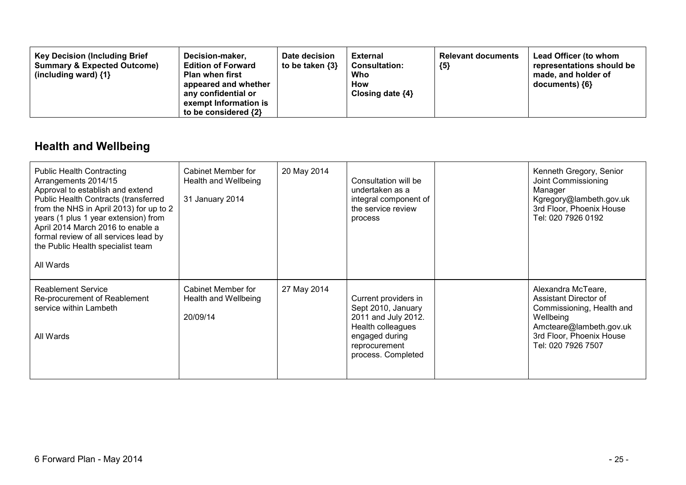| <b>Key Decision (Including Brief</b><br>Decision-maker,<br><b>Summary &amp; Expected Outcome)</b><br><b>Edition of Forward</b><br><b>Plan when first</b><br>(including ward) $\{1\}$<br>appeared and whether<br>any confidential or<br>exempt Information is<br>to be considered {2} | Date decision<br>to be taken {3} | <b>External</b><br><b>Consultation:</b><br>Who<br>How<br>Closing date $\{4\}$ | <b>Relevant documents</b><br>${5}$ | Lead Officer (to whom<br>representations should be<br>made, and holder of<br>documents) ${6}$ |
|--------------------------------------------------------------------------------------------------------------------------------------------------------------------------------------------------------------------------------------------------------------------------------------|----------------------------------|-------------------------------------------------------------------------------|------------------------------------|-----------------------------------------------------------------------------------------------|
|--------------------------------------------------------------------------------------------------------------------------------------------------------------------------------------------------------------------------------------------------------------------------------------|----------------------------------|-------------------------------------------------------------------------------|------------------------------------|-----------------------------------------------------------------------------------------------|

## **Health and Wellbeing**

| <b>Public Health Contracting</b><br>Arrangements 2014/15<br>Approval to establish and extend<br>Public Health Contracts (transferred<br>from the NHS in April 2013) for up to 2<br>years (1 plus 1 year extension) from<br>April 2014 March 2016 to enable a<br>formal review of all services lead by<br>the Public Health specialist team<br>All Wards | Cabinet Member for<br>Health and Wellbeing<br>31 January 2014 | 20 May 2014 | Consultation will be<br>undertaken as a<br>integral component of<br>the service review<br>process                                               | Kenneth Gregory, Senior<br>Joint Commissioning<br>Manager<br>Kgregory@lambeth.gov.uk<br>3rd Floor, Phoenix House<br>Tel: 020 7926 0192                             |
|---------------------------------------------------------------------------------------------------------------------------------------------------------------------------------------------------------------------------------------------------------------------------------------------------------------------------------------------------------|---------------------------------------------------------------|-------------|-------------------------------------------------------------------------------------------------------------------------------------------------|--------------------------------------------------------------------------------------------------------------------------------------------------------------------|
| <b>Reablement Service</b><br>Re-procurement of Reablement<br>service within Lambeth<br>All Wards                                                                                                                                                                                                                                                        | Cabinet Member for<br>Health and Wellbeing<br>20/09/14        | 27 May 2014 | Current providers in<br>Sept 2010, January<br>2011 and July 2012.<br>Health colleagues<br>engaged during<br>reprocurement<br>process. Completed | Alexandra McTeare,<br>Assistant Director of<br>Commissioning, Health and<br>Wellbeing<br>Amcteare@lambeth.gov.uk<br>3rd Floor, Phoenix House<br>Tel: 020 7926 7507 |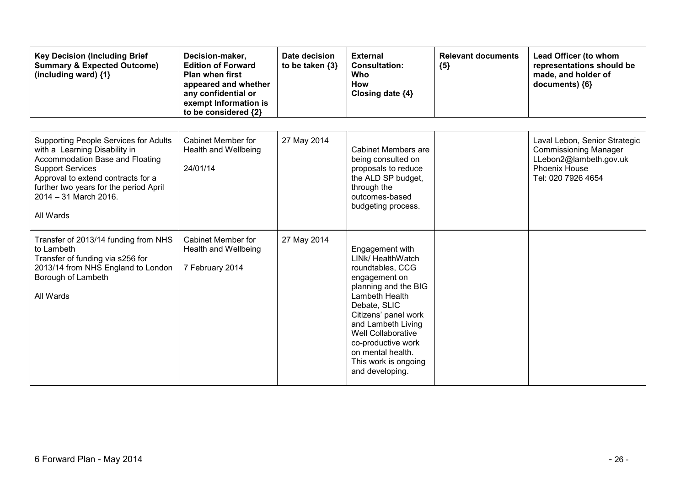| <b>Key Decision (Including Brief</b><br><b>Summary &amp; Expected Outcome)</b><br>(including ward) {1}                                                                                                                                                              | Decision-maker,<br><b>Edition of Forward</b><br><b>Plan when first</b><br>appeared and whether<br>any confidential or<br>exempt Information is<br>to be considered {2} | Date decision<br>to be taken {3} | <b>External</b><br><b>Consultation:</b><br>Who<br>How<br>Closing date {4}                                                                                                                                                                                                                            | <b>Relevant documents</b><br>${5}$ | Lead Officer (to whom<br>representations should be<br>made, and holder of<br>documents) {6}                                           |
|---------------------------------------------------------------------------------------------------------------------------------------------------------------------------------------------------------------------------------------------------------------------|------------------------------------------------------------------------------------------------------------------------------------------------------------------------|----------------------------------|------------------------------------------------------------------------------------------------------------------------------------------------------------------------------------------------------------------------------------------------------------------------------------------------------|------------------------------------|---------------------------------------------------------------------------------------------------------------------------------------|
| <b>Supporting People Services for Adults</b><br>with a Learning Disability in<br>Accommodation Base and Floating<br><b>Support Services</b><br>Approval to extend contracts for a<br>further two years for the period April<br>$2014 - 31$ March 2016.<br>All Wards | Cabinet Member for<br>Health and Wellbeing<br>24/01/14                                                                                                                 | 27 May 2014                      | Cabinet Members are<br>being consulted on<br>proposals to reduce<br>the ALD SP budget,<br>through the<br>outcomes-based<br>budgeting process.                                                                                                                                                        |                                    | Laval Lebon, Senior Strategic<br><b>Commissioning Manager</b><br>LLebon2@lambeth.gov.uk<br><b>Phoenix House</b><br>Tel: 020 7926 4654 |
| Transfer of 2013/14 funding from NHS<br>to Lambeth<br>Transfer of funding via s256 for<br>2013/14 from NHS England to London<br>Borough of Lambeth<br>All Wards                                                                                                     | Cabinet Member for<br>Health and Wellbeing<br>7 February 2014                                                                                                          | 27 May 2014                      | Engagement with<br>LINk/ HealthWatch<br>roundtables, CCG<br>engagement on<br>planning and the BIG<br>Lambeth Health<br>Debate, SLIC<br>Citizens' panel work<br>and Lambeth Living<br><b>Well Collaborative</b><br>co-productive work<br>on mental health.<br>This work is ongoing<br>and developing. |                                    |                                                                                                                                       |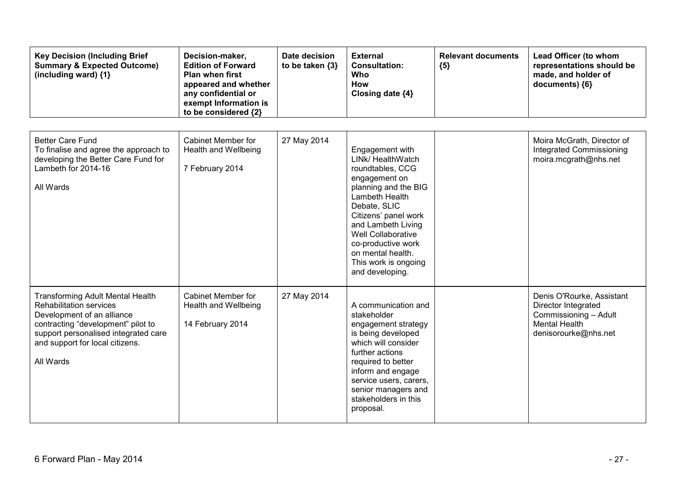| <b>Key Decision (Including Brief</b><br><b>Summary &amp; Expected Outcome)</b><br>(including ward) {1}                                                                                                                                | Decision-maker,<br><b>Edition of Forward</b><br><b>Plan when first</b><br>appeared and whether<br>any confidential or<br>exempt Information is<br>to be considered {2} | Date decision<br>to be taken {3} | <b>External</b><br><b>Consultation:</b><br><b>Who</b><br>How<br>Closing date {4}                                                                                                                                                                                                                     | <b>Relevant documents</b><br>${5}$ | Lead Officer (to whom<br>representations should be<br>made, and holder of<br>documents) {6}                               |
|---------------------------------------------------------------------------------------------------------------------------------------------------------------------------------------------------------------------------------------|------------------------------------------------------------------------------------------------------------------------------------------------------------------------|----------------------------------|------------------------------------------------------------------------------------------------------------------------------------------------------------------------------------------------------------------------------------------------------------------------------------------------------|------------------------------------|---------------------------------------------------------------------------------------------------------------------------|
| <b>Better Care Fund</b><br>To finalise and agree the approach to<br>developing the Better Care Fund for<br>Lambeth for 2014-16<br>All Wards                                                                                           | Cabinet Member for<br><b>Health and Wellbeing</b><br>7 February 2014                                                                                                   | 27 May 2014                      | Engagement with<br>LINK/ HealthWatch<br>roundtables, CCG<br>engagement on<br>planning and the BIG<br>Lambeth Health<br>Debate, SLIC<br>Citizens' panel work<br>and Lambeth Living<br><b>Well Collaborative</b><br>co-productive work<br>on mental health.<br>This work is ongoing<br>and developing. |                                    | Moira McGrath, Director of<br>Integrated Commissioning<br>moira.mcgrath@nhs.net                                           |
| <b>Transforming Adult Mental Health</b><br><b>Rehabilitation services</b><br>Development of an alliance<br>contracting "development" pilot to<br>support personalised integrated care<br>and support for local citizens.<br>All Wards | Cabinet Member for<br><b>Health and Wellbeing</b><br>14 February 2014                                                                                                  | 27 May 2014                      | A communication and<br>stakeholder<br>engagement strategy<br>is being developed<br>which will consider<br>further actions<br>required to better<br>inform and engage<br>service users, carers,<br>senior managers and<br>stakeholders in this<br>proposal.                                           |                                    | Denis O'Rourke, Assistant<br>Director Integrated<br>Commissioning - Adult<br><b>Mental Health</b><br>denisorourke@nhs.net |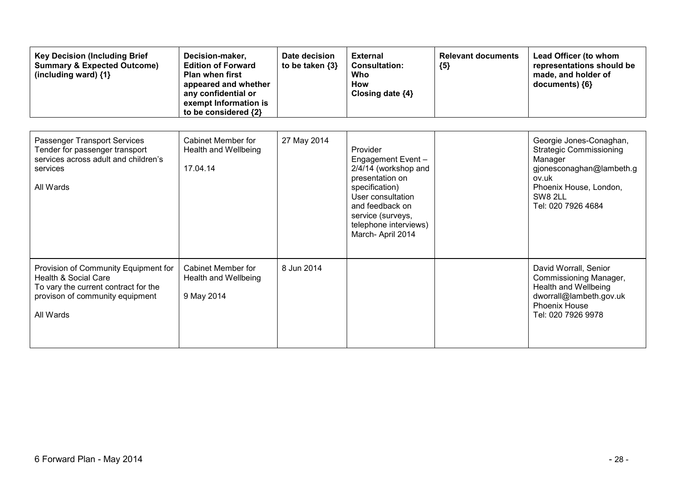| <b>Key Decision (Including Brief</b><br><b>Summary &amp; Expected Outcome)</b><br>(including ward) {1}                                                          | Decision-maker,<br><b>Edition of Forward</b><br><b>Plan when first</b><br>appeared and whether<br>any confidential or<br>exempt Information is<br>to be considered {2} | Date decision<br>to be taken $\{3\}$ | <b>External</b><br><b>Consultation:</b><br>Who<br>How<br>Closing date {4}                                                                                                                            | <b>Relevant documents</b><br>${5}$ | Lead Officer (to whom<br>representations should be<br>made, and holder of<br>documents) {6}                                                                          |
|-----------------------------------------------------------------------------------------------------------------------------------------------------------------|------------------------------------------------------------------------------------------------------------------------------------------------------------------------|--------------------------------------|------------------------------------------------------------------------------------------------------------------------------------------------------------------------------------------------------|------------------------------------|----------------------------------------------------------------------------------------------------------------------------------------------------------------------|
| Passenger Transport Services<br>Tender for passenger transport<br>services across adult and children's<br>services<br>All Wards                                 | <b>Cabinet Member for</b><br>Health and Wellbeing<br>17.04.14                                                                                                          | 27 May 2014                          | Provider<br>Engagement Event-<br>2/4/14 (workshop and<br>presentation on<br>specification)<br>User consultation<br>and feedback on<br>service (surveys,<br>telephone interviews)<br>March-April 2014 |                                    | Georgie Jones-Conaghan,<br><b>Strategic Commissioning</b><br>Manager<br>gjonesconaghan@lambeth.g<br>ov.uk<br>Phoenix House, London,<br>SW8 2LL<br>Tel: 020 7926 4684 |
| Provision of Community Equipment for<br><b>Health &amp; Social Care</b><br>To vary the current contract for the<br>provison of community equipment<br>All Wards | <b>Cabinet Member for</b><br>Health and Wellbeing<br>9 May 2014                                                                                                        | 8 Jun 2014                           |                                                                                                                                                                                                      |                                    | David Worrall, Senior<br>Commissioning Manager,<br><b>Health and Wellbeing</b><br>dworrall@lambeth.gov.uk<br><b>Phoenix House</b><br>Tel: 020 7926 9978              |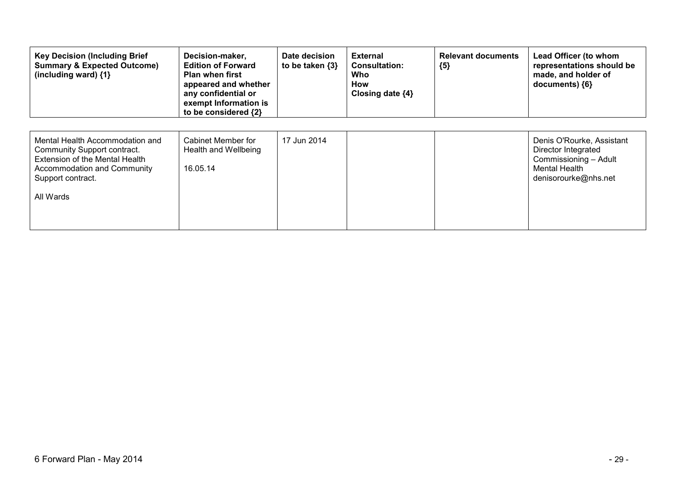| <b>Key Decision (Including Brief</b><br><b>Summary &amp; Expected Outcome)</b><br>(including ward) $\{1\}$                                                        | Decision-maker,<br><b>Edition of Forward</b><br><b>Plan when first</b><br>appeared and whether<br>any confidential or<br>exempt Information is<br>to be considered {2} | Date decision<br>to be taken $\{3\}$ | <b>External</b><br><b>Consultation:</b><br>Who<br>How<br>Closing date $\{4\}$ | <b>Relevant documents</b><br>${5}$ | Lead Officer (to whom<br>representations should be<br>made, and holder of<br>documents) ${6}$                      |
|-------------------------------------------------------------------------------------------------------------------------------------------------------------------|------------------------------------------------------------------------------------------------------------------------------------------------------------------------|--------------------------------------|-------------------------------------------------------------------------------|------------------------------------|--------------------------------------------------------------------------------------------------------------------|
| Mental Health Accommodation and<br>Community Support contract.<br>Extension of the Mental Health<br>Accommodation and Community<br>Support contract.<br>All Wards | Cabinet Member for<br>Health and Wellbeing<br>16.05.14                                                                                                                 | 17 Jun 2014                          |                                                                               |                                    | Denis O'Rourke, Assistant<br>Director Integrated<br>Commissioning - Adult<br>Mental Health<br>denisorourke@nhs.net |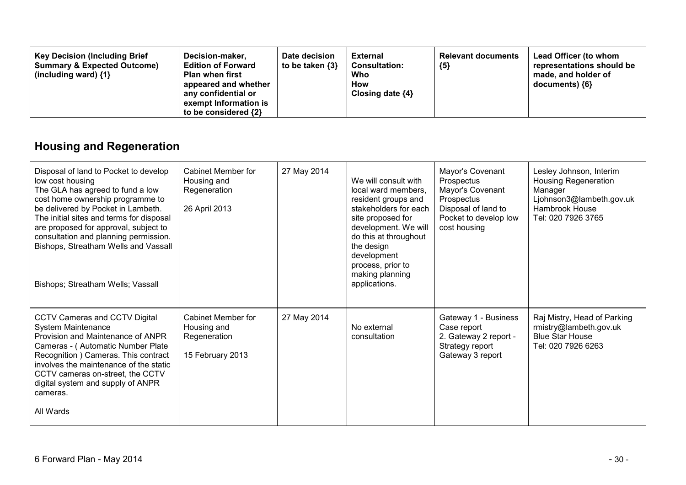| <b>Key Decision (Including Brief</b><br>Decision-maker,<br><b>Summary &amp; Expected Outcome)</b><br><b>Edition of Forward</b><br><b>Plan when first</b><br>(including ward) $\{1\}$<br>appeared and whether<br>any confidential or<br>exempt Information is<br>to be considered {2} | Date decision<br>to be taken {3} | External<br><b>Consultation:</b><br>Who<br><b>How</b><br>Closing date $\{4\}$ | <b>Relevant documents</b><br>${5}$ | <b>Lead Officer (to whom</b><br>representations should be<br>made, and holder of<br>documents) ${6}$ |
|--------------------------------------------------------------------------------------------------------------------------------------------------------------------------------------------------------------------------------------------------------------------------------------|----------------------------------|-------------------------------------------------------------------------------|------------------------------------|------------------------------------------------------------------------------------------------------|
|--------------------------------------------------------------------------------------------------------------------------------------------------------------------------------------------------------------------------------------------------------------------------------------|----------------------------------|-------------------------------------------------------------------------------|------------------------------------|------------------------------------------------------------------------------------------------------|

## **Housing and Regeneration**

| Disposal of land to Pocket to develop<br>low cost housing<br>The GLA has agreed to fund a low<br>cost home ownership programme to<br>be delivered by Pocket in Lambeth.<br>The initial sites and terms for disposal<br>are proposed for approval, subject to<br>consultation and planning permission.<br>Bishops, Streatham Wells and Vassall<br>Bishops; Streatham Wells; Vassall | Cabinet Member for<br>Housing and<br>Regeneration<br>26 April 2013    | 27 May 2014 | We will consult with<br>local ward members,<br>resident groups and<br>stakeholders for each<br>site proposed for<br>development. We will<br>do this at throughout<br>the design<br>development<br>process, prior to<br>making planning<br>applications. | Mayor's Covenant<br>Prospectus<br>Mayor's Covenant<br>Prospectus<br>Disposal of land to<br>Pocket to develop low<br>cost housing | Lesley Johnson, Interim<br><b>Housing Regeneration</b><br>Manager<br>Ljohnson3@lambeth.gov.uk<br>Hambrook House<br>Tel: 020 7926 3765 |
|------------------------------------------------------------------------------------------------------------------------------------------------------------------------------------------------------------------------------------------------------------------------------------------------------------------------------------------------------------------------------------|-----------------------------------------------------------------------|-------------|---------------------------------------------------------------------------------------------------------------------------------------------------------------------------------------------------------------------------------------------------------|----------------------------------------------------------------------------------------------------------------------------------|---------------------------------------------------------------------------------------------------------------------------------------|
| <b>CCTV Cameras and CCTV Digital</b><br>System Maintenance<br>Provision and Maintenance of ANPR<br>Cameras - (Automatic Number Plate<br>Recognition ) Cameras. This contract<br>involves the maintenance of the static<br>CCTV cameras on-street, the CCTV<br>digital system and supply of ANPR<br>cameras.<br>All Wards                                                           | Cabinet Member for<br>Housing and<br>Regeneration<br>15 February 2013 | 27 May 2014 | No external<br>consultation                                                                                                                                                                                                                             | Gateway 1 - Business<br>Case report<br>2. Gateway 2 report -<br>Strategy report<br>Gateway 3 report                              | Raj Mistry, Head of Parking<br>rmistry@lambeth.gov.uk<br><b>Blue Star House</b><br>Tel: 020 7926 6263                                 |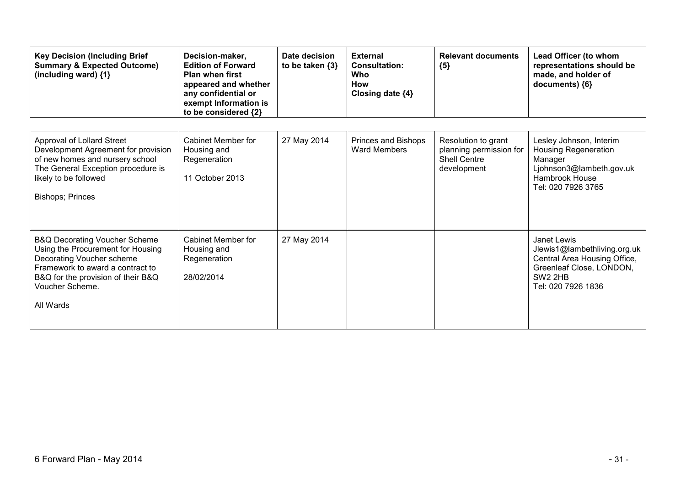| <b>Key Decision (Including Brief</b><br><b>Summary &amp; Expected Outcome)</b><br>(including ward) {1}                                                                                                               | Decision-maker,<br><b>Edition of Forward</b><br><b>Plan when first</b><br>appeared and whether<br>any confidential or<br>exempt Information is<br>to be considered {2} | Date decision<br>to be taken $\{3\}$ | <b>External</b><br><b>Consultation:</b><br>Who<br><b>How</b><br>Closing date {4} | <b>Relevant documents</b><br>${5}$                                                   | Lead Officer (to whom<br>representations should be<br>made, and holder of<br>documents) {6}                                                          |
|----------------------------------------------------------------------------------------------------------------------------------------------------------------------------------------------------------------------|------------------------------------------------------------------------------------------------------------------------------------------------------------------------|--------------------------------------|----------------------------------------------------------------------------------|--------------------------------------------------------------------------------------|------------------------------------------------------------------------------------------------------------------------------------------------------|
| <b>Approval of Lollard Street</b><br>Development Agreement for provision<br>of new homes and nursery school<br>The General Exception procedure is<br>likely to be followed<br><b>Bishops; Princes</b>                | Cabinet Member for<br>Housing and<br>Regeneration<br>11 October 2013                                                                                                   | 27 May 2014                          | Princes and Bishops<br><b>Ward Members</b>                                       | Resolution to grant<br>planning permission for<br><b>Shell Centre</b><br>development | Lesley Johnson, Interim<br><b>Housing Regeneration</b><br>Manager<br>Ljohnson3@lambeth.gov.uk<br><b>Hambrook House</b><br>Tel: 020 7926 3765         |
| <b>B&amp;Q Decorating Voucher Scheme</b><br>Using the Procurement for Housing<br>Decorating Voucher scheme<br>Framework to award a contract to<br>B&Q for the provision of their B&Q<br>Voucher Scheme.<br>All Wards | Cabinet Member for<br>Housing and<br>Regeneration<br>28/02/2014                                                                                                        | 27 May 2014                          |                                                                                  |                                                                                      | Janet Lewis<br>Jlewis1@lambethliving.org.uk<br>Central Area Housing Office,<br>Greenleaf Close, LONDON,<br>SW <sub>2</sub> 2HB<br>Tel: 020 7926 1836 |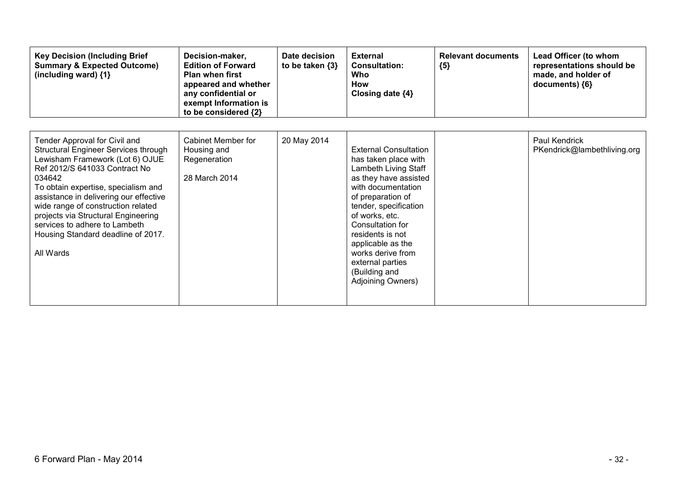| <b>Key Decision (Including Brief</b><br><b>Summary &amp; Expected Outcome)</b><br>(including ward) {1}                                                                                                                                                                                                                                                                                                | Decision-maker,<br><b>Edition of Forward</b><br><b>Plan when first</b><br>appeared and whether<br>any confidential or<br>exempt Information is<br>to be considered {2} | Date decision<br>to be taken $\{3\}$ | <b>External</b><br><b>Consultation:</b><br>Who<br><b>How</b><br>Closing date {4}                                                                                                                                                                                                                                                        | <b>Relevant documents</b><br>${5}$ | Lead Officer (to whom<br>representations should be<br>made, and holder of<br>documents) ${6}$ |
|-------------------------------------------------------------------------------------------------------------------------------------------------------------------------------------------------------------------------------------------------------------------------------------------------------------------------------------------------------------------------------------------------------|------------------------------------------------------------------------------------------------------------------------------------------------------------------------|--------------------------------------|-----------------------------------------------------------------------------------------------------------------------------------------------------------------------------------------------------------------------------------------------------------------------------------------------------------------------------------------|------------------------------------|-----------------------------------------------------------------------------------------------|
| Tender Approval for Civil and<br>Structural Engineer Services through<br>Lewisham Framework (Lot 6) OJUE<br>Ref 2012/S 641033 Contract No<br>034642<br>To obtain expertise, specialism and<br>assistance in delivering our effective<br>wide range of construction related<br>projects via Structural Engineering<br>services to adhere to Lambeth<br>Housing Standard deadline of 2017.<br>All Wards | Cabinet Member for<br>Housing and<br>Regeneration<br>28 March 2014                                                                                                     | 20 May 2014                          | <b>External Consultation</b><br>has taken place with<br>Lambeth Living Staff<br>as they have assisted<br>with documentation<br>of preparation of<br>tender, specification<br>of works, etc.<br>Consultation for<br>residents is not<br>applicable as the<br>works derive from<br>external parties<br>(Building and<br>Adjoining Owners) |                                    | Paul Kendrick<br>PKendrick@lambethliving.org                                                  |